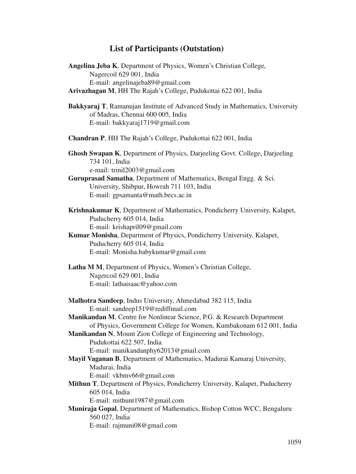## **List of Participants (Outstation)**

| Angelina Jeba K, Department of Physics, Women's Christian College,<br>Nagercoil 629 001, India<br>E-mail: angelinajeba89@gmail.com                                                                                                                  |
|-----------------------------------------------------------------------------------------------------------------------------------------------------------------------------------------------------------------------------------------------------|
| Arivazhagan M, HH The Rajah's College, Pudukottai 622 001, India                                                                                                                                                                                    |
| Bakkyaraj T, Ramanujan Institute of Advanced Study in Mathematics, University<br>of Madras, Chennai 600 005, India<br>E-mail: bakkyaraj1719@gmail.com                                                                                               |
| Chandran P, HH The Rajah's College, Pudukottai 622 001, India                                                                                                                                                                                       |
| Ghosh Swapan K, Department of Physics, Darjeeling Govt. College, Darjeeling<br>734 101, India<br>e-mail: trinil2003@gmail.com<br>Guruprasad Samatha, Department of Mathematics, Bengal Engg. & Sci.                                                 |
| University, Shibpur, Howrah 711 103, India<br>E-mail: gpsamanta@math.becs.ac.in                                                                                                                                                                     |
| Krishnakumar K, Department of Mathematics, Pondicherry University, Kalapet,<br>Puducherry 605 014, India<br>E-mail: krishapril09@gmail.com                                                                                                          |
| Kumar Monisha, Department of Physics, Pondicherry University, Kalapet,<br>Puducherry 605 014, India<br>E-mail: Monisha.babykumar@gmail.com                                                                                                          |
| Latha M M, Department of Physics, Women's Christian College,<br>Nagercoil 629 001, India<br>E-mail: lathaisaac@yahoo.com                                                                                                                            |
| Malhotra Sandeep, Indus University, Ahmedabad 382 115, India<br>E-mail: sandeep1519@rediffmail.com<br>Manikandan M, Centre for Nonlinear Science, P.G. & Research Department<br>of Physics, Government College for Women, Kumbakonam 612 001, India |
| Manikandan N, Mount Zion College of Engineering and Technology,<br>Pudukottai 622 507, India<br>E-mail: manikandanphy62013@gmail.com                                                                                                                |
| Mayil Vaganan B, Department of Mathematics, Madurai Kamaraj University,<br>Madurai, India<br>E-mail: vkbmv66@gmail.com                                                                                                                              |
| Mithun T, Department of Physics, Pondicherry University, Kalapet, Puducherry<br>605 014, India<br>E-mail: mithunt1987@gmail.com                                                                                                                     |
| Muniraja Gopal, Department of Mathematics, Bishop Cotton WCC, Bengaluru<br>560 027, India<br>E-mail: rajmuni08@gmail.com                                                                                                                            |
|                                                                                                                                                                                                                                                     |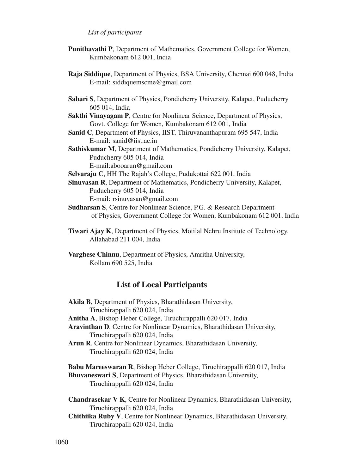## *List of participants*

- **Punithavathi P**, Department of Mathematics, Government College for Women, Kumbakonam 612 001, India
- **Raja Siddique**, Department of Physics, BSA University, Chennai 600 048, India E-mail: siddiquemscme@gmail.com
- **Sabari S**, Department of Physics, Pondicherry University, Kalapet, Puducherry 605 014, India
- **Sakthi Vinayagam P**, Centre for Nonlinear Science, Department of Physics, Govt. College for Women, Kumbakonam 612 001, India
- **Sanid C**, Department of Physics, IIST, Thiruvananthapuram 695 547, India E-mail: sanid@iist.ac.in
- **Sathiskumar M**, Department of Mathematics, Pondicherry University, Kalapet, Puducherry 605 014, India
	- E-mail:abooarun@gmail.com

**Selvaraju C**, HH The Rajah's College, Pudukottai 622 001, India

- **Sinuvasan R**, Department of Mathematics, Pondicherry University, Kalapet, Puducherry 605 014, India E-mail: rsinuvasan@gmail.com
- **Sudharsan S**, Centre for Nonlinear Science, P.G. & Research Department of Physics, Government College for Women, Kumbakonam 612 001, India
- **Tiwari Ajay K**, Department of Physics, Motilal Nehru Institute of Technology, Allahabad 211 004, India
- **Varghese Chinnu**, Department of Physics, Amritha University, Kollam 690 525, India

## **List of Local Participants**

**Akila B**, Department of Physics, Bharathidasan University, Tiruchirappalli 620 024, India **Anitha A**, Bishop Heber College, Tiruchirappalli 620 017, India **Aravinthan D**, Centre for Nonlinear Dynamics, Bharathidasan University, Tiruchirappalli 620 024, India **Arun R**, Centre for Nonlinear Dynamics, Bharathidasan University, Tiruchirappalli 620 024, India **Babu Mareeswaran R**, Bishop Heber College, Tiruchirappalli 620 017, India **Bhuvaneswari S**, Department of Physics, Bharathidasan University, Tiruchirappalli 620 024, India

**Chandrasekar V K**, Centre for Nonlinear Dynamics, Bharathidasan University, Tiruchirappalli 620 024, India

**Chithiika Ruby V**, Centre for Nonlinear Dynamics, Bharathidasan University, Tiruchirappalli 620 024, India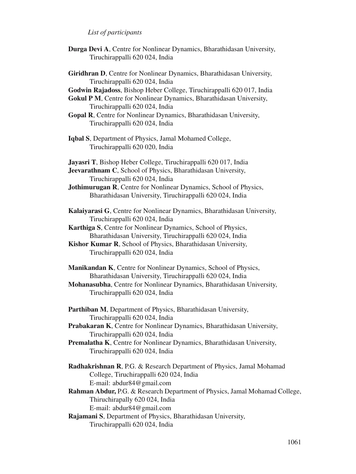## *List of participants*

- **Durga Devi A**, Centre for Nonlinear Dynamics, Bharathidasan University, Tiruchirappalli 620 024, India
- **Giridhran D**, Centre for Nonlinear Dynamics, Bharathidasan University, Tiruchirappalli 620 024, India
- **Godwin Rajadoss**, Bishop Heber College, Tiruchirappalli 620 017, India
- **Gokul P M**, Centre for Nonlinear Dynamics, Bharathidasan University, Tiruchirappalli 620 024, India
- **Gopal R**, Centre for Nonlinear Dynamics, Bharathidasan University, Tiruchirappalli 620 024, India
- **Iqbal S**, Department of Physics, Jamal Mohamed College, Tiruchirappalli 620 020, India

**Jayasri T**, Bishop Heber College, Tiruchirappalli 620 017, India

- **Jeevarathnam C**, School of Physics, Bharathidasan University, Tiruchirappalli 620 024, India
- **Jothimurugan R**, Centre for Nonlinear Dynamics, School of Physics, Bharathidasan University, Tiruchirappalli 620 024, India
- **Kalaiyarasi G**, Centre for Nonlinear Dynamics, Bharathidasan University, Tiruchirappalli 620 024, India
- **Karthiga S**, Centre for Nonlinear Dynamics, School of Physics, Bharathidasan University, Tiruchirappalli 620 024, India
- **Kishor Kumar R**, School of Physics, Bharathidasan University, Tiruchirappalli 620 024, India
- **Manikandan K**, Centre for Nonlinear Dynamics, School of Physics, Bharathidasan University, Tiruchirappalli 620 024, India
- **Mohanasubha**, Centre for Nonlinear Dynamics, Bharathidasan University, Tiruchirappalli 620 024, India
- **Parthiban M**, Department of Physics, Bharathidasan University, Tiruchirappalli 620 024, India
- **Prabakaran K**, Centre for Nonlinear Dynamics, Bharathidasan University, Tiruchirappalli 620 024, India
- **Premalatha K**, Centre for Nonlinear Dynamics, Bharathidasan University, Tiruchirappalli 620 024, India
- **Radhakrishnan R**, P.G. & Research Department of Physics, Jamal Mohamad College, Tiruchirappalli 620 024, India E-mail: abdur84@gmail.com
- **Rahman Abdur,** P.G. & Research Department of Physics, Jamal Mohamad College, Thiruchirapally 620 024, India E-mail: abdur84@gmail.com
- **Rajamani S**, Department of Physics, Bharathidasan University, Tiruchirappalli 620 024, India